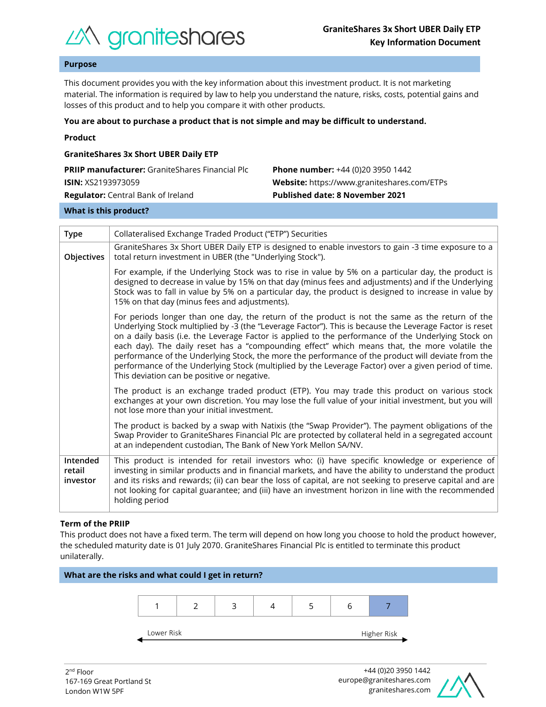

# **Purpose**

This document provides you with the key information about this investment product. It is not marketing material. The information is required by law to help you understand the nature, risks, costs, potential gains and losses of this product and to help you compare it with other products.

#### **You are about to purchase a product that is not simple and may be difficult to understand.**

|  | Product |  |
|--|---------|--|
|  |         |  |

| <b>GraniteShares 3x Short UBER Daily ETP</b>           |                                                    |  |  |  |  |
|--------------------------------------------------------|----------------------------------------------------|--|--|--|--|
| <b>PRIIP manufacturer:</b> GraniteShares Financial Plc | <b>Phone number:</b> +44 (0)20 3950 1442           |  |  |  |  |
| <b>ISIN:</b> XS2193973059                              | <b>Website:</b> https://www.graniteshares.com/ETPs |  |  |  |  |
| <b>Regulator:</b> Central Bank of Ireland              | <b>Published date: 8 November 2021</b>             |  |  |  |  |
|                                                        |                                                    |  |  |  |  |

#### **What is this product?**

| <b>Type</b>                    | Collateralised Exchange Traded Product ("ETP") Securities                                                                                                                                                                                                                                                                                                                                                                                                                                                                                                                                                                                                                       |  |  |  |
|--------------------------------|---------------------------------------------------------------------------------------------------------------------------------------------------------------------------------------------------------------------------------------------------------------------------------------------------------------------------------------------------------------------------------------------------------------------------------------------------------------------------------------------------------------------------------------------------------------------------------------------------------------------------------------------------------------------------------|--|--|--|
| Objectives                     | GraniteShares 3x Short UBER Daily ETP is designed to enable investors to gain -3 time exposure to a<br>total return investment in UBER (the "Underlying Stock").                                                                                                                                                                                                                                                                                                                                                                                                                                                                                                                |  |  |  |
|                                | For example, if the Underlying Stock was to rise in value by 5% on a particular day, the product is<br>designed to decrease in value by 15% on that day (minus fees and adjustments) and if the Underlying<br>Stock was to fall in value by 5% on a particular day, the product is designed to increase in value by<br>15% on that day (minus fees and adjustments).                                                                                                                                                                                                                                                                                                            |  |  |  |
|                                | For periods longer than one day, the return of the product is not the same as the return of the<br>Underlying Stock multiplied by -3 (the "Leverage Factor"). This is because the Leverage Factor is reset<br>on a daily basis (i.e. the Leverage Factor is applied to the performance of the Underlying Stock on<br>each day). The daily reset has a "compounding effect" which means that, the more volatile the<br>performance of the Underlying Stock, the more the performance of the product will deviate from the<br>performance of the Underlying Stock (multiplied by the Leverage Factor) over a given period of time.<br>This deviation can be positive or negative. |  |  |  |
|                                | The product is an exchange traded product (ETP). You may trade this product on various stock<br>exchanges at your own discretion. You may lose the full value of your initial investment, but you will<br>not lose more than your initial investment.                                                                                                                                                                                                                                                                                                                                                                                                                           |  |  |  |
|                                | The product is backed by a swap with Natixis (the "Swap Provider"). The payment obligations of the<br>Swap Provider to GraniteShares Financial Plc are protected by collateral held in a segregated account<br>at an independent custodian, The Bank of New York Mellon SA/NV.                                                                                                                                                                                                                                                                                                                                                                                                  |  |  |  |
| Intended<br>retail<br>investor | This product is intended for retail investors who: (i) have specific knowledge or experience of<br>investing in similar products and in financial markets, and have the ability to understand the product<br>and its risks and rewards; (ii) can bear the loss of capital, are not seeking to preserve capital and are<br>not looking for capital guarantee; and (iii) have an investment horizon in line with the recommended<br>holding period                                                                                                                                                                                                                                |  |  |  |

## **Term of the PRIIP**

This product does not have a fixed term. The term will depend on how long you choose to hold the product however, the scheduled maturity date is 01 July 2070. GraniteShares Financial Plc is entitled to terminate this product unilaterally.



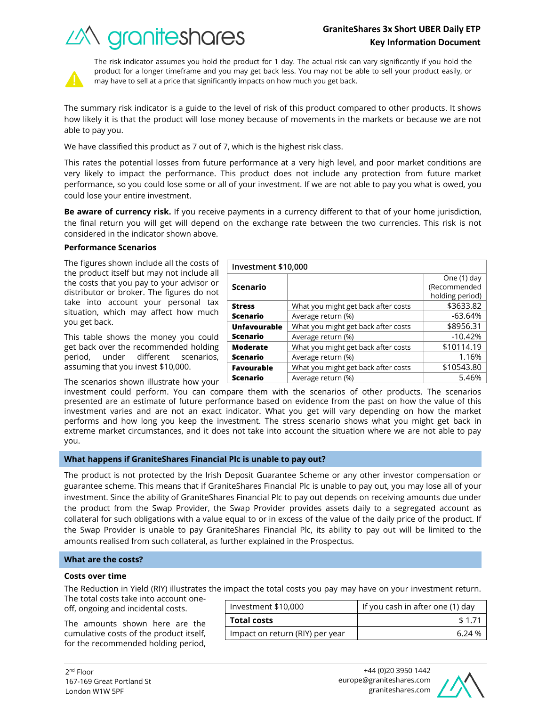# **GraniteShares 3x Short UBER Daily ETP Key Information Document**

What you might get back after costs  $\sim$  \$3633.82 Average return (%)  $\sim$  -63.64%

What you might get back after costs | \$8956.31 Average return (%) and the set of the set of the set of the set of the set of the set of the set of the set of the set of the set of the set of the set of the set of the set of the set of the set of the set of the set of t

What you might get back after costs  $\vert$  \$10114.19 Average return (%) and the set of the 1.16%





The risk indicator assumes you hold the product for 1 day. The actual risk can vary significantly if you hold the product for a longer timeframe and you may get back less. You may not be able to sell your product easily, or may have to sell at a price that significantly impacts on how much you get back.

The summary risk indicator is a guide to the level of risk of this product compared to other products. It shows how likely it is that the product will lose money because of movements in the markets or because we are not able to pay you.

We have classified this product as 7 out of 7, which is the highest risk class.

This rates the potential losses from future performance at a very high level, and poor market conditions are very likely to impact the performance. This product does not include any protection from future market performance, so you could lose some or all of your investment. If we are not able to pay you what is owed, you could lose your entire investment.

**Be aware of currency risk.** If you receive payments in a currency different to that of your home jurisdiction, the final return you will get will depend on the exchange rate between the two currencies. This risk is not considered in the indicator shown above.

**Investment \$10,000**

**Scenario**

**Unfavourable Scenario**

**Moderate Scenario**

**Stress Scenario**

## **Performance Scenarios**

The figures shown include all the costs of the product itself but may not include all the costs that you pay to your advisor or distributor or broker. The figures do not take into account your personal tax situation, which may affect how much you get back.

This table shows the money you could get back over the recommended holding period, under different scenarios, assuming that you invest \$10,000.

The scenarios shown illustrate how your

investment could perform. You can compare them with the scenarios of other products. The scenarios presented are an estimate of future performance based on evidence from the past on how the value of this investment varies and are not an exact indicator. What you get will vary depending on how the market performs and how long you keep the investment. The stress scenario shows what you might get back in extreme market circumstances, and it does not take into account the situation where we are not able to pay you. **Favourable Scenario** What you might get back after costs  $\vert$  \$10543.80 Average return (%) and the set of the set of the set of the set of the set of the set of the set of the set of the set of the set of the set of the set of the set of the set of the set of the set of the set of the set of t

## **What happens if GraniteShares Financial Plc is unable to pay out?**

The product is not protected by the Irish Deposit Guarantee Scheme or any other investor compensation or guarantee scheme. This means that if GraniteShares Financial Plc is unable to pay out, you may lose all of your investment. Since the ability of GraniteShares Financial Plc to pay out depends on receiving amounts due under the product from the Swap Provider, the Swap Provider provides assets daily to a segregated account as collateral for such obligations with a value equal to or in excess of the value of the daily price of the product. If the Swap Provider is unable to pay GraniteShares Financial Plc, its ability to pay out will be limited to the amounts realised from such collateral, as further explained in the Prospectus.

## **What are the costs?**

#### **Costs over time**

The Reduction in Yield (RIY) illustrates the impact the total costs you pay may have on your investment return.

The total costs take into account oneoff, ongoing and incidental costs.

The amounts shown here are the cumulative costs of the product itself, for the recommended holding period,

| Investment \$10,000             | If you cash in after one (1) day |  |
|---------------------------------|----------------------------------|--|
| <b>Total costs</b>              | \$1.71                           |  |
| Impact on return (RIY) per year | 6 24 %                           |  |



One (1) day (Recommended holding period)